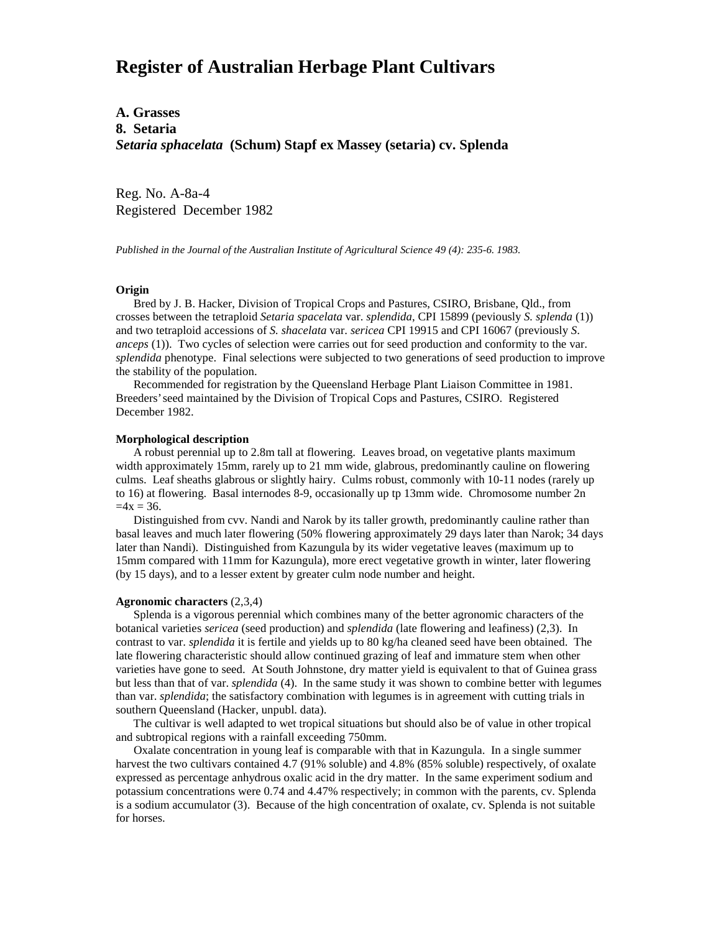# **Register of Australian Herbage Plant Cultivars**

# **A. Grasses 8. Setaria** *Setaria sphacelata* **(Schum) Stapf ex Massey (setaria) cv. Splenda**

Reg. No. A-8a-4 Registered December 1982

*Published in the Journal of the Australian Institute of Agricultural Science 49 (4): 235-6. 1983.*

### **Origin**

 Bred by J. B. Hacker, Division of Tropical Crops and Pastures, CSIRO, Brisbane, Qld., from crosses between the tetraploid *Setaria spacelata* var. *splendida*, CPI 15899 (peviously *S. splenda* (1)) and two tetraploid accessions of *S. shacelata* var. *sericea* CPI 19915 and CPI 16067 (previously *S*. *anceps* (1)). Two cycles of selection were carries out for seed production and conformity to the var. *splendida* phenotype. Final selections were subjected to two generations of seed production to improve the stability of the population.

 Recommended for registration by the Queensland Herbage Plant Liaison Committee in 1981. Breeders' seed maintained by the Division of Tropical Cops and Pastures, CSIRO. Registered December 1982.

## **Morphological description**

 A robust perennial up to 2.8m tall at flowering. Leaves broad, on vegetative plants maximum width approximately 15mm, rarely up to 21 mm wide, glabrous, predominantly cauline on flowering culms. Leaf sheaths glabrous or slightly hairy. Culms robust, commonly with 10-11 nodes (rarely up to 16) at flowering. Basal internodes 8-9, occasionally up tp 13mm wide. Chromosome number 2n  $=4x = 36.$ 

 Distinguished from cvv. Nandi and Narok by its taller growth, predominantly cauline rather than basal leaves and much later flowering (50% flowering approximately 29 days later than Narok; 34 days later than Nandi). Distinguished from Kazungula by its wider vegetative leaves (maximum up to 15mm compared with 11mm for Kazungula), more erect vegetative growth in winter, later flowering (by 15 days), and to a lesser extent by greater culm node number and height.

## **Agronomic characters** (2,3,4)

 Splenda is a vigorous perennial which combines many of the better agronomic characters of the botanical varieties *sericea* (seed production) and *splendida* (late flowering and leafiness) (2,3). In contrast to var. *splendida* it is fertile and yields up to 80 kg/ha cleaned seed have been obtained. The late flowering characteristic should allow continued grazing of leaf and immature stem when other varieties have gone to seed. At South Johnstone, dry matter yield is equivalent to that of Guinea grass but less than that of var. *splendida* (4). In the same study it was shown to combine better with legumes than var. *splendida*; the satisfactory combination with legumes is in agreement with cutting trials in southern Queensland (Hacker, unpubl. data).

 The cultivar is well adapted to wet tropical situations but should also be of value in other tropical and subtropical regions with a rainfall exceeding 750mm.

 Oxalate concentration in young leaf is comparable with that in Kazungula. In a single summer harvest the two cultivars contained 4.7 (91% soluble) and 4.8% (85% soluble) respectively, of oxalate expressed as percentage anhydrous oxalic acid in the dry matter. In the same experiment sodium and potassium concentrations were 0.74 and 4.47% respectively; in common with the parents, cv. Splenda is a sodium accumulator (3). Because of the high concentration of oxalate, cv. Splenda is not suitable for horses.